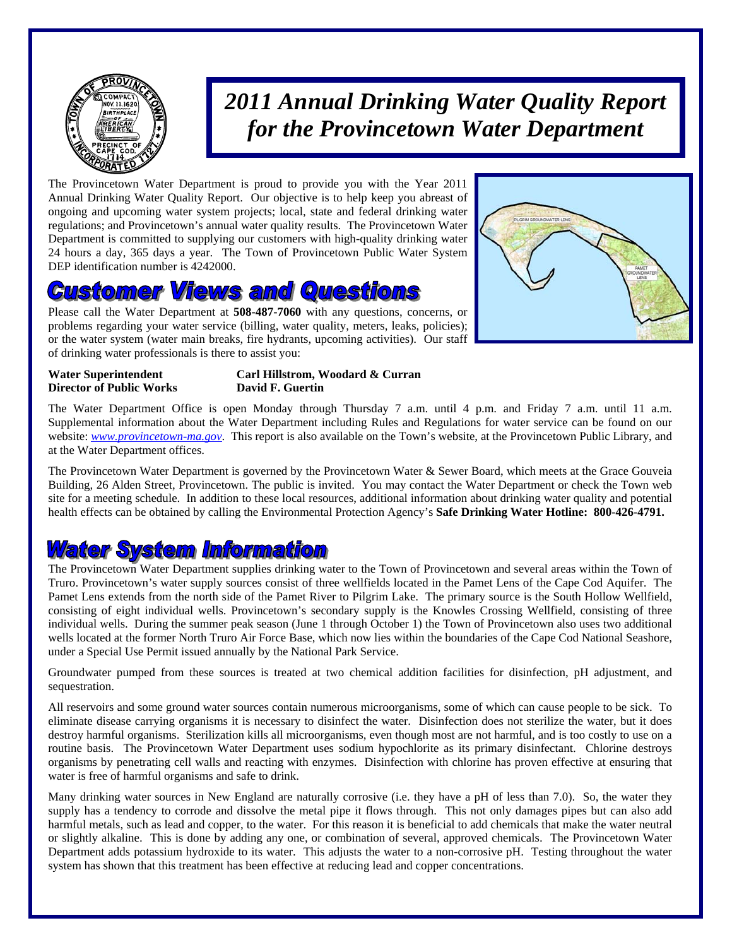

# *2011 Annual Drinking Water Quality Report for the Provincetown Water Department*

The Provincetown Water Department is proud to provide you with the Year 2011 Annual Drinking Water Quality Report. Our objective is to help keep you abreast of ongoing and upcoming water system projects; local, state and federal drinking water regulations; and Provincetown's annual water quality results. The Provincetown Water Department is committed to supplying our customers with high-quality drinking water 24 hours a day, 365 days a year. The Town of Provincetown Public Water System DEP identification number is 4242000.

## ustomer Views and Questions

Please call the Water Department at **508-487-7060** with any questions, concerns, or problems regarding your water service (billing, water quality, meters, leaks, policies); or the water system (water main breaks, fire hydrants, upcoming activities). Our staff of drinking water professionals is there to assist you:



**Director of Public Works David F. Guertin** 

# **Water Superintendent Carl Hillstrom, Woodard & Curran**

The Water Department Office is open Monday through Thursday 7 a.m. until 4 p.m. and Friday 7 a.m. until 11 a.m. Supplemental information about the Water Department including Rules and Regulations for water service can be found on our website: *www.provincetown-ma.gov*. This report is also available on the Town's website, at the Provincetown Public Library, and at the Water Department offices.

The Provincetown Water Department is governed by the Provincetown Water & Sewer Board, which meets at the Grace Gouveia Building, 26 Alden Street, Provincetown. The public is invited. You may contact the Water Department or check the Town web site for a meeting schedule. In addition to these local resources, additional information about drinking water quality and potential health effects can be obtained by calling the Environmental Protection Agency's **Safe Drinking Water Hotline: 800-426-4791.** 

### **Water System Information**

The Provincetown Water Department supplies drinking water to the Town of Provincetown and several areas within the Town of Truro. Provincetown's water supply sources consist of three wellfields located in the Pamet Lens of the Cape Cod Aquifer. The Pamet Lens extends from the north side of the Pamet River to Pilgrim Lake. The primary source is the South Hollow Wellfield, consisting of eight individual wells. Provincetown's secondary supply is the Knowles Crossing Wellfield, consisting of three individual wells. During the summer peak season (June 1 through October 1) the Town of Provincetown also uses two additional wells located at the former North Truro Air Force Base, which now lies within the boundaries of the Cape Cod National Seashore, under a Special Use Permit issued annually by the National Park Service.

Groundwater pumped from these sources is treated at two chemical addition facilities for disinfection, pH adjustment, and sequestration.

All reservoirs and some ground water sources contain numerous microorganisms, some of which can cause people to be sick. To eliminate disease carrying organisms it is necessary to disinfect the water. Disinfection does not sterilize the water, but it does destroy harmful organisms. Sterilization kills all microorganisms, even though most are not harmful, and is too costly to use on a routine basis. The Provincetown Water Department uses sodium hypochlorite as its primary disinfectant. Chlorine destroys organisms by penetrating cell walls and reacting with enzymes. Disinfection with chlorine has proven effective at ensuring that water is free of harmful organisms and safe to drink.

Many drinking water sources in New England are naturally corrosive (i.e. they have a pH of less than 7.0). So, the water they supply has a tendency to corrode and dissolve the metal pipe it flows through. This not only damages pipes but can also add harmful metals, such as lead and copper, to the water. For this reason it is beneficial to add chemicals that make the water neutral or slightly alkaline. This is done by adding any one, or combination of several, approved chemicals. The Provincetown Water Department adds potassium hydroxide to its water. This adjusts the water to a non-corrosive pH. Testing throughout the water system has shown that this treatment has been effective at reducing lead and copper concentrations.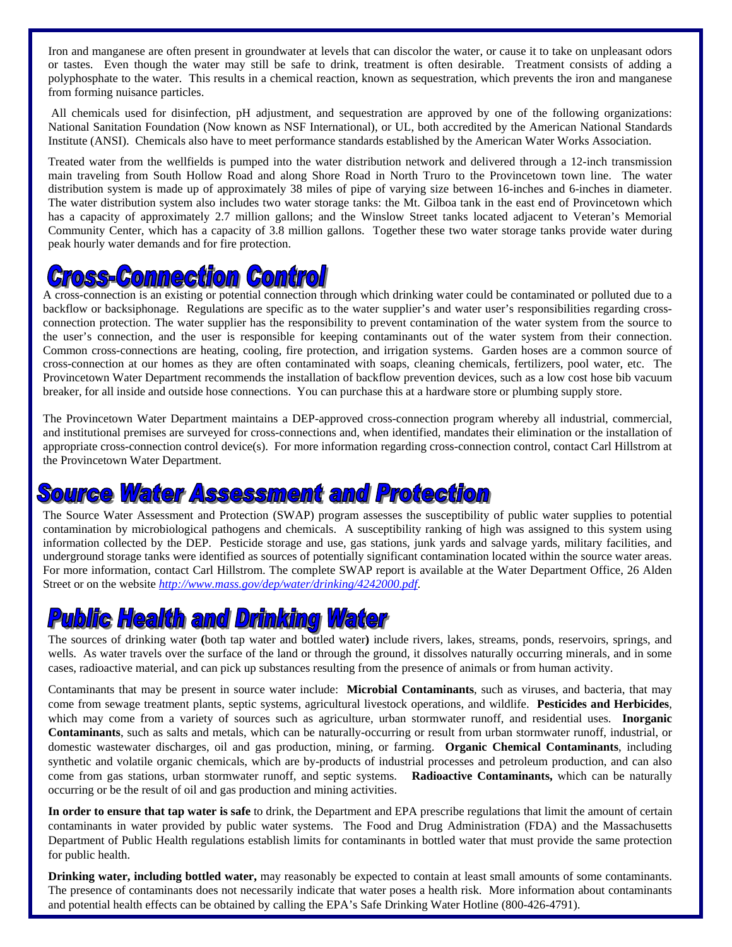Iron and manganese are often present in groundwater at levels that can discolor the water, or cause it to take on unpleasant odors or tastes. Even though the water may still be safe to drink, treatment is often desirable. Treatment consists of adding a polyphosphate to the water. This results in a chemical reaction, known as sequestration, which prevents the iron and manganese from forming nuisance particles.

 All chemicals used for disinfection, pH adjustment, and sequestration are approved by one of the following organizations: National Sanitation Foundation (Now known as NSF International), or UL, both accredited by the American National Standards Institute (ANSI). Chemicals also have to meet performance standards established by the American Water Works Association.

Treated water from the wellfields is pumped into the water distribution network and delivered through a 12-inch transmission main traveling from South Hollow Road and along Shore Road in North Truro to the Provincetown town line. The water distribution system is made up of approximately 38 miles of pipe of varying size between 16-inches and 6-inches in diameter. The water distribution system also includes two water storage tanks: the Mt. Gilboa tank in the east end of Provincetown which has a capacity of approximately 2.7 million gallons; and the Winslow Street tanks located adjacent to Veteran's Memorial Community Center, which has a capacity of 3.8 million gallons. Together these two water storage tanks provide water during peak hourly water demands and for fire protection.

# *Cross-Commection Control*

A cross-connection is an existing or potential connection through which drinking water could be contaminated or polluted due to a backflow or backsiphonage. Regulations are specific as to the water supplier's and water user's responsibilities regarding crossconnection protection. The water supplier has the responsibility to prevent contamination of the water system from the source to the user's connection, and the user is responsible for keeping contaminants out of the water system from their connection. Common cross-connections are heating, cooling, fire protection, and irrigation systems. Garden hoses are a common source of cross-connection at our homes as they are often contaminated with soaps, cleaning chemicals, fertilizers, pool water, etc. The Provincetown Water Department recommends the installation of backflow prevention devices, such as a low cost hose bib vacuum breaker, for all inside and outside hose connections. You can purchase this at a hardware store or plumbing supply store.

The Provincetown Water Department maintains a DEP-approved cross-connection program whereby all industrial, commercial, and institutional premises are surveyed for cross-connections and, when identified, mandates their elimination or the installation of appropriate cross-connection control device(s). For more information regarding cross-connection control, contact Carl Hillstrom at the Provincetown Water Department.

## **Source Water Assessment and Protection**

The Source Water Assessment and Protection (SWAP) program assesses the susceptibility of public water supplies to potential contamination by microbiological pathogens and chemicals. A susceptibility ranking of high was assigned to this system using information collected by the DEP. Pesticide storage and use, gas stations, junk yards and salvage yards, military facilities, and underground storage tanks were identified as sources of potentially significant contamination located within the source water areas. For more information, contact Carl Hillstrom. The complete SWAP report is available at the Water Department Office, 26 Alden Street or on the website *http://www.mass.gov/dep/water/drinking/4242000.pdf*.

# **Public Health and Drinking Water**

The sources of drinking water **(**both tap water and bottled water**)** include rivers, lakes, streams, ponds, reservoirs, springs, and wells. As water travels over the surface of the land or through the ground, it dissolves naturally occurring minerals, and in some cases, radioactive material, and can pick up substances resulting from the presence of animals or from human activity.

Contaminants that may be present in source water include: **Microbial Contaminants**, such as viruses, and bacteria, that may come from sewage treatment plants, septic systems, agricultural livestock operations, and wildlife. **Pesticides and Herbicides**, which may come from a variety of sources such as agriculture, urban stormwater runoff, and residential uses. **Inorganic Contaminants**, such as salts and metals, which can be naturally-occurring or result from urban stormwater runoff, industrial, or domestic wastewater discharges, oil and gas production, mining, or farming. **Organic Chemical Contaminants**, including synthetic and volatile organic chemicals, which are by-products of industrial processes and petroleum production, and can also come from gas stations, urban stormwater runoff, and septic systems. **Radioactive Contaminants,** which can be naturally occurring or be the result of oil and gas production and mining activities.

**In order to ensure that tap water is safe** to drink, the Department and EPA prescribe regulations that limit the amount of certain contaminants in water provided by public water systems. The Food and Drug Administration (FDA) and the Massachusetts Department of Public Health regulations establish limits for contaminants in bottled water that must provide the same protection for public health.

**Drinking water, including bottled water,** may reasonably be expected to contain at least small amounts of some contaminants. The presence of contaminants does not necessarily indicate that water poses a health risk. More information about contaminants and potential health effects can be obtained by calling the EPA's Safe Drinking Water Hotline (800-426-4791).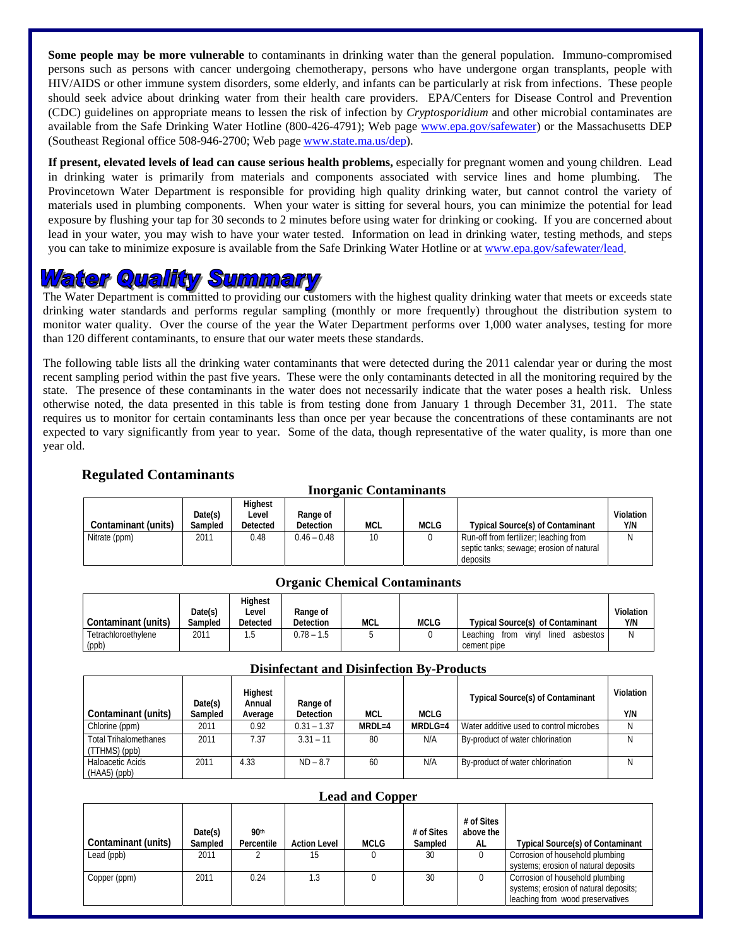**Some people may be more vulnerable** to contaminants in drinking water than the general population. Immuno-compromised persons such as persons with cancer undergoing chemotherapy, persons who have undergone organ transplants, people with HIV/AIDS or other immune system disorders, some elderly, and infants can be particularly at risk from infections. These people should seek advice about drinking water from their health care providers. EPA/Centers for Disease Control and Prevention (CDC) guidelines on appropriate means to lessen the risk of infection by *Cryptosporidium* and other microbial contaminates are available from the Safe Drinking Water Hotline (800-426-4791); Web page www.epa.gov/safewater) or the Massachusetts DEP (Southeast Regional office 508-946-2700; Web page www.state.ma.us/dep).

**If present, elevated levels of lead can cause serious health problems,** especially for pregnant women and young children. Lead in drinking water is primarily from materials and components associated with service lines and home plumbing. The Provincetown Water Department is responsible for providing high quality drinking water, but cannot control the variety of materials used in plumbing components. When your water is sitting for several hours, you can minimize the potential for lead exposure by flushing your tap for 30 seconds to 2 minutes before using water for drinking or cooking. If you are concerned about lead in your water, you may wish to have your water tested. Information on lead in drinking water, testing methods, and steps you can take to minimize exposure is available from the Safe Drinking Water Hotline or at www.epa.gov/safewater/lead.

# <u> Water Quality Summary</u>

The Water Department is committed to providing our customers with the highest quality drinking water that meets or exceeds state drinking water standards and performs regular sampling (monthly or more frequently) throughout the distribution system to monitor water quality. Over the course of the year the Water Department performs over 1,000 water analyses, testing for more than 120 different contaminants, to ensure that our water meets these standards.

The following table lists all the drinking water contaminants that were detected during the 2011 calendar year or during the most recent sampling period within the past five years. These were the only contaminants detected in all the monitoring required by the state. The presence of these contaminants in the water does not necessarily indicate that the water poses a health risk. Unless otherwise noted, the data presented in this table is from testing done from January 1 through December 31, 2011. The state requires us to monitor for certain contaminants less than once per year because the concentrations of these contaminants are not expected to vary significantly from year to year. Some of the data, though representative of the water quality, is more than one year old.

### **Regulated Contaminants**

| ---------------------------------- |                    |                              |                              |            |             |                                                                                                |                  |  |
|------------------------------------|--------------------|------------------------------|------------------------------|------------|-------------|------------------------------------------------------------------------------------------------|------------------|--|
| Contaminant (units)                | Date(s)<br>Sampled | Highest<br>Level<br>Detected | Range of<br><b>Detection</b> | <b>MCL</b> | <b>MCLG</b> | <b>Typical Source(s) of Contaminant</b>                                                        | Violation<br>Y/N |  |
| Nitrate (ppm)                      | 2011               | 0.48                         | $0.46 - 0.48$                | 10         |             | Run-off from fertilizer; leaching from<br>septic tanks; sewage; erosion of natural<br>deposits | Ν                |  |

### **Inorganic Contaminants**

### **Organic Chemical Contaminants**

|                     | Date(s) | <b>Highest</b><br>Level | Range of         |     |             |                                                | Violation |
|---------------------|---------|-------------------------|------------------|-----|-------------|------------------------------------------------|-----------|
| Contaminant (units) | Sampled | Detected                | <b>Detection</b> | MCL | <b>MCLG</b> | Typical Source(s) of Contaminant               | Y/N       |
| Tetrachloroethvlene | 2011    | .5                      | $0.78 - 1.5$     |     |             | Leaching<br>asbestos<br>lined<br>from<br>vinvl | N         |
| (ppb)               |         |                         |                  |     |             | cement pipe                                    |           |

### **Disinfectant and Disinfection By-Products**

|                                                 | Date(s) | Highest<br>Annual | Range of         |            |           | <b>Typical Source(s) of Contaminant</b> | Violation |
|-------------------------------------------------|---------|-------------------|------------------|------------|-----------|-----------------------------------------|-----------|
| Contaminant (units)                             | Sampled | Average           | <b>Detection</b> | <b>MCL</b> | MCLG      |                                         | Y/N       |
| Chlorine (ppm)                                  | 2011    | 0.92              | $0.31 - 1.37$    | $MRDL=4$   | $MRDLG=4$ | Water additive used to control microbes |           |
| <b>Total Trihalomethanes</b><br>$(TTHMS)$ (ppb) | 2011    | 7.37              | $3.31 - 11$      | 80         | N/A       | By-product of water chlorination        |           |
| Haloacetic Acids<br>(HAA5) (ppb)                | 2011    | 4.33              | $ND - 87$        | 60         | N/A       | By-product of water chlorination        |           |

### **Lead and Copper**

| Contaminant (units) | Date(s)<br>Sampled | 90 <sup>th</sup><br>Percentile | <b>Action Level</b> | <b>MCLG</b> | # of Sites<br>Sampled | # of Sites<br>above the<br>AL | <b>Typical Source(s) of Contaminant</b>                                                                      |
|---------------------|--------------------|--------------------------------|---------------------|-------------|-----------------------|-------------------------------|--------------------------------------------------------------------------------------------------------------|
| Lead (ppb)          | 2011               |                                | 15                  |             | 30                    |                               | Corrosion of household plumbing<br>systems; erosion of natural deposits                                      |
| Copper (ppm)        | 2011               | 0.24                           | 1.3                 |             | 30                    |                               | Corrosion of household plumbing<br>systems; erosion of natural deposits;<br>leaching from wood preservatives |